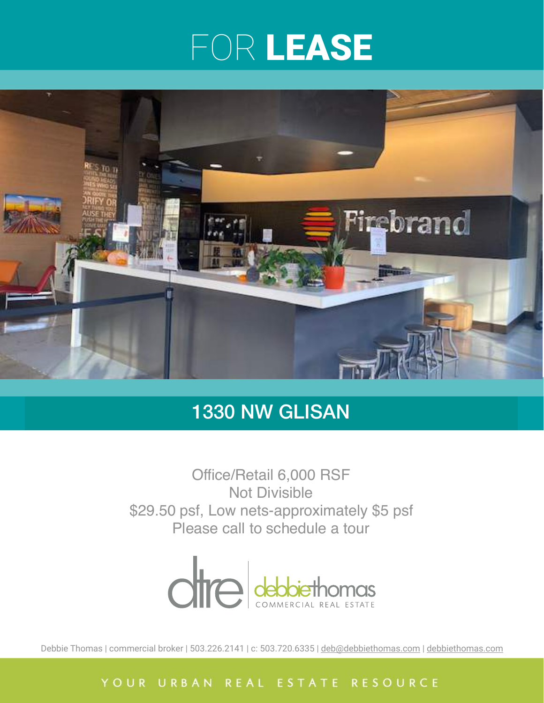## FOR LEASE



### 1330 NW GLISAN

Office/Retail 6,000 RSF Not Divisible \$29.50 psf, Low nets-approximately \$5 psf Please call to schedule a tour



Debbie Thomas | commercial broker | 503.226.2141 | c: 503.720.6335 | [deb@debbiethomas.com](mailto:deb@debbiethomas.com) | [debbiethomas.com](http://debbiethomas.com)

YOUR URBAN REAL ESTATE RESOURCE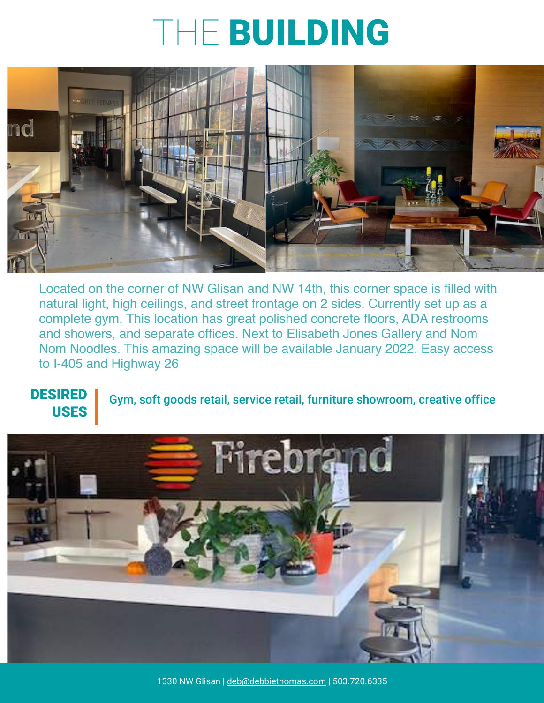## THE BUILDING



Located on the corner of NW Glisan and NW 14th, this corner space is filled with natural light, high ceilings, and street frontage on 2 sides. Currently set up as a complete gym. This location has great polished concrete floors, ADA restrooms and showers, and separate offices. Next to Elisabeth Jones Gallery and Nom Nom Noodles. This amazing space will be available January 2022. Easy access to I-405 and Highway 26

#### DESIRED USES Gym, soft goods retail, service retail, furniture showroom, creative office

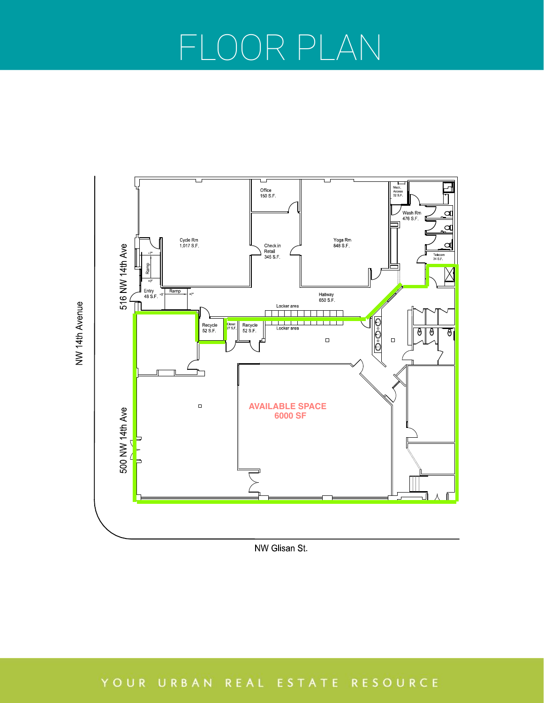# FLOOR PLAN



NW Glisan St.

### YOUR URBAN REAL ESTATE RESOURCE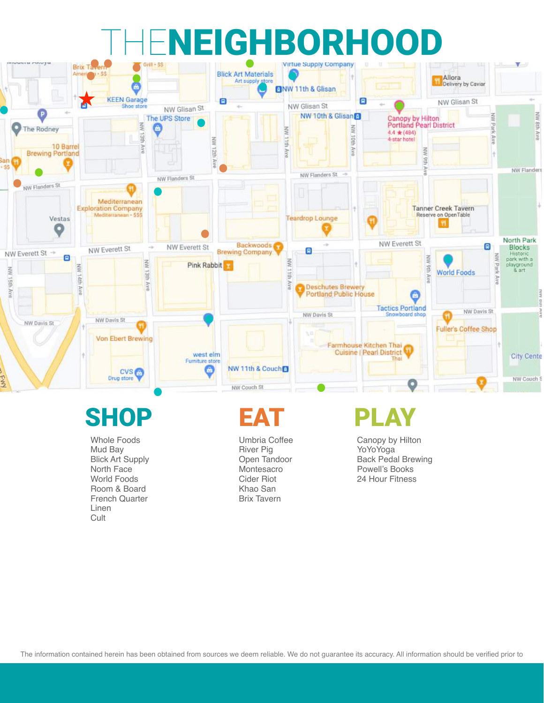# NEIGHBORHOOD



## SHOP EA

Whole Foods Mud Bay Blick Art Supply North Face World Foods Room & Board French Quarter Linen **Cult** 

Umbria Coffee River Pig Open Tandoor Montesacro Cider Riot Khao San Brix Tavern

Canopy by Hilton YoYoYoga Back Pedal Brewing Powell's Books 24 Hour Fitness